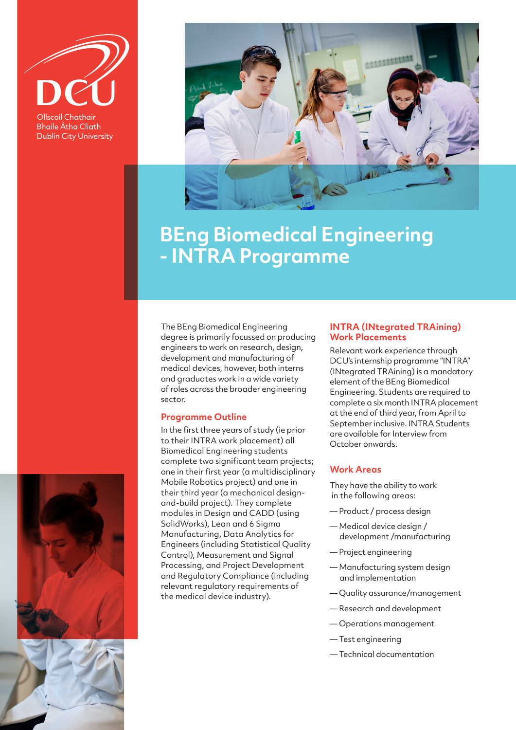

**Bhaile Átha Cliath Dublin City University** 



# **BEng Biomedical Engineering - INTRA Programme**

The BEng Biomedical Engineering degree is primarily focussed on producing engineers to work on research, design, development and manufacturing of medical devices, however, both interns and graduates work in a wide variety of roles across the broader engineering sector.

#### **Programme Outline**

In the first three years of study (ie prior to their INTRA work placement) all Biomedical Engineering students complete two significant team projects; one in their first year (a multidisciplinary Mobile Robotics project) and one in their third year (a mechanical designand-build project). They complete modules in Design and CADD (using SolidWorks), Lean and 6 Sigma Manufacturing, Data Analytics for Engineers (including Statistical Quality Control), Measurement and Signal Processing, and Project Development and Regulatory Compliance (including relevant regulatory requirements of the medical device industry).

#### **INTRA (INtegrated TRAining) Work Placements**

Relevant work experience through DCU's internship programme "INTRA" (INtegrated TRAining) is a mandatory element of the BEng Biomedical Engineering. Students are required to complete a six month INTRA placement at the end of third year, from April to September inclusive. INTRA Students are available for Interview from October onwards.

### **Work Areas**

They have the ability to work in the following areas:

- Product / process design
- Medical device design / development /manufacturing
- Project engineering
- Manufacturing system design and implementation
- Quality assurance/management
- Research and development
- Operations management
- Test engineering
- Technical documentation